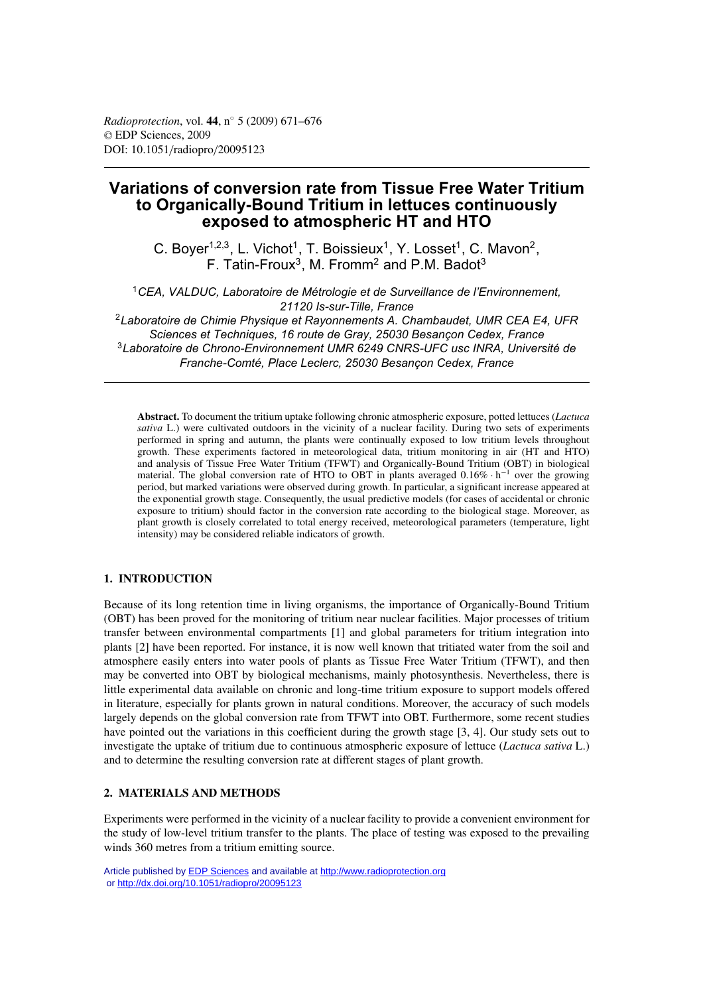# **Variations of conversion rate from Tissue Free Water Tritium to Organically-Bound Tritium in lettuces continuously exposed to atmospheric HT and HTO**

C. Boyer<sup>1,2,3</sup>, L. Vichot<sup>1</sup>, T. Boissieux<sup>1</sup>, Y. Losset<sup>1</sup>, C. Mavon<sup>2</sup>, F. Tatin-Froux<sup>3</sup>, M. Fromm<sup>2</sup> and P.M. Badot<sup>3</sup>

<sup>1</sup>*CEA, VALDUC, Laboratoire de Métrologie et de Surveillance de l'Environnement, 21120 Is-sur-Tille, France*

<sup>2</sup>*Laboratoire de Chimie Physique et Rayonnements A. Chambaudet, UMR CEA E4, UFR Sciences et Techniques, 16 route de Gray, 25030 Besançon Cedex, France* <sup>3</sup>*Laboratoire de Chrono-Environnement UMR 6249 CNRS-UFC usc INRA, Université de Franche-Comté, Place Leclerc, 25030 Besançon Cedex, France*

**Abstract.** To document the tritium uptake following chronic atmospheric exposure, potted lettuces (*Lactuca sativa* L.) were cultivated outdoors in the vicinity of a nuclear facility. During two sets of experiments performed in spring and autumn, the plants were continually exposed to low tritium levels throughout growth. These experiments factored in meteorological data, tritium monitoring in air (HT and HTO) and analysis of Tissue Free Water Tritium (TFWT) and Organically-Bound Tritium (OBT) in biological material. The global conversion rate of HTO to OBT in plants averaged  $0.16\% \cdot h^{-1}$  over the growing period, but marked variations were observed during growth. In particular, a significant increase appeared at the exponential growth stage. Consequently, the usual predictive models (for cases of accidental or chronic exposure to tritium) should factor in the conversion rate according to the biological stage. Moreover, as plant growth is closely correlated to total energy received, meteorological parameters (temperature, light intensity) may be considered reliable indicators of growth.

# **1. INTRODUCTION**

Because of its long retention time in living organisms, the importance of Organically-Bound Tritium (OBT) has been proved for the monitoring of tritium near nuclear facilities. Major processes of tritium transfer between environmental compartments [1] and global parameters for tritium integration into plants [2] have been reported. For instance, it is now well known that tritiated water from the soil and atmosphere easily enters into water pools of plants as Tissue Free Water Tritium (TFWT), and then may be converted into OBT by biological mechanisms, mainly photosynthesis. Nevertheless, there is little experimental data available on chronic and long-time tritium exposure to support models offered in literature, especially for plants grown in natural conditions. Moreover, the accuracy of such models largely depends on the global conversion rate from TFWT into OBT. Furthermore, some recent studies have pointed out the variations in this coefficient during the growth stage [3, 4]. Our study sets out to investigate the uptake of tritium due to continuous atmospheric exposure of lettuce (*Lactuca sativa* L.) and to determine the resulting conversion rate at different stages of plant growth.

# **2. MATERIALS AND METHODS**

Experiments were performed in the vicinity of a nuclear facility to provide a convenient environment for the study of low-level tritium transfer to the plants. The place of testing was exposed to the prevailing winds 360 metres from a tritium emitting source.

Article published by [EDP Sciences](http://www.edpsciences.org) and available at<http://www.radioprotection.org> or <http://dx.doi.org/10.1051/radiopro/20095123>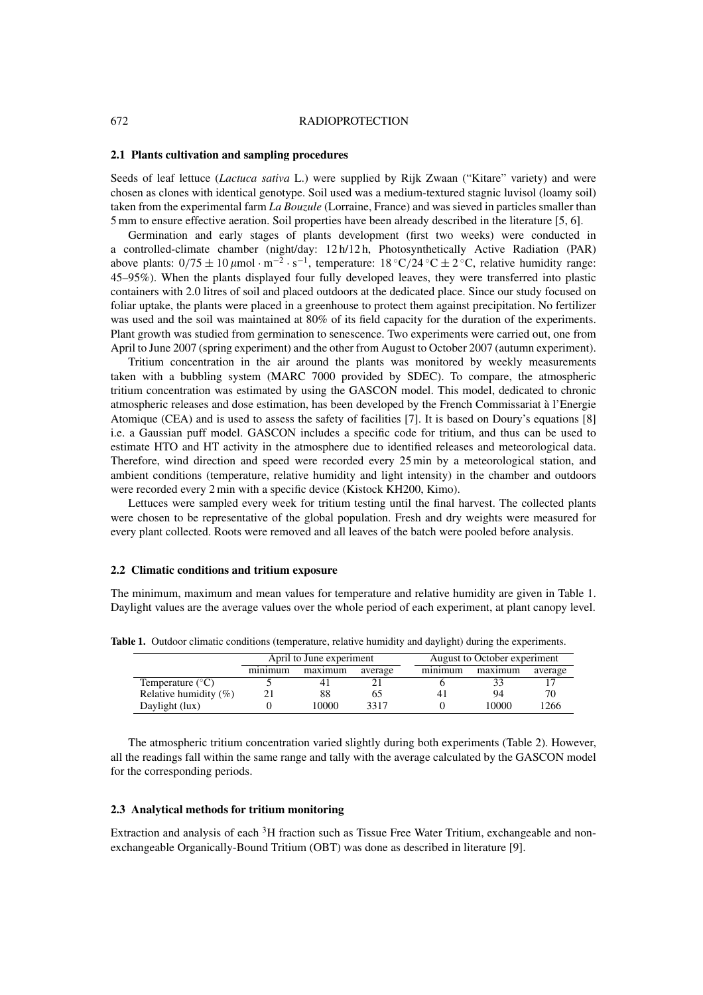#### 672 RADIOPROTECTION

#### **2.1 Plants cultivation and sampling procedures**

Seeds of leaf lettuce (*Lactuca sativa* L.) were supplied by Rijk Zwaan ("Kitare" variety) and were chosen as clones with identical genotype. Soil used was a medium-textured stagnic luvisol (loamy soil) taken from the experimental farm *La Bouzule* (Lorraine, France) and was sieved in particles smaller than 5 mm to ensure effective aeration. Soil properties have been already described in the literature [5, 6].

Germination and early stages of plants development (first two weeks) were conducted in a controlled-climate chamber (night/day: 12 h/12 h, Photosynthetically Active Radiation (PAR) above plants:  $0/75 \pm 10 \,\mu$ mol·m<sup>-2</sup>·s<sup>-1</sup>, temperature: 18 °C/24 °C  $\pm$  2 °C, relative humidity range: 45–95%). When the plants displayed four fully developed leaves, they were transferred into plastic containers with 2.0 litres of soil and placed outdoors at the dedicated place. Since our study focused on foliar uptake, the plants were placed in a greenhouse to protect them against precipitation. No fertilizer was used and the soil was maintained at 80% of its field capacity for the duration of the experiments. Plant growth was studied from germination to senescence. Two experiments were carried out, one from April to June 2007 (spring experiment) and the other from August to October 2007 (autumn experiment).

Tritium concentration in the air around the plants was monitored by weekly measurements taken with a bubbling system (MARC 7000 provided by SDEC). To compare, the atmospheric tritium concentration was estimated by using the GASCON model. This model, dedicated to chronic atmospheric releases and dose estimation, has been developed by the French Commissariat à l'Energie Atomique (CEA) and is used to assess the safety of facilities [7]. It is based on Doury's equations [8] i.e. a Gaussian puff model. GASCON includes a specific code for tritium, and thus can be used to estimate HTO and HT activity in the atmosphere due to identified releases and meteorological data. Therefore, wind direction and speed were recorded every 25 min by a meteorological station, and ambient conditions (temperature, relative humidity and light intensity) in the chamber and outdoors were recorded every 2 min with a specific device (Kistock KH200, Kimo).

Lettuces were sampled every week for tritium testing until the final harvest. The collected plants were chosen to be representative of the global population. Fresh and dry weights were measured for every plant collected. Roots were removed and all leaves of the batch were pooled before analysis.

#### **2.2 Climatic conditions and tritium exposure**

The minimum, maximum and mean values for temperature and relative humidity are given in Table 1. Daylight values are the average values over the whole period of each experiment, at plant canopy level.

|                           | April to June experiment |         |         |  | August to October experiment |         |         |  |
|---------------------------|--------------------------|---------|---------|--|------------------------------|---------|---------|--|
|                           | minimum                  | maximum | average |  | minimum                      | maximum | average |  |
| Temperature $(^{\circ}C)$ |                          |         |         |  |                              |         |         |  |
| Relative humidity $(\%)$  |                          | 88      | რა      |  | 4 <sub>1</sub>               | 94      | 70      |  |
| Daylight (lux)            |                          | 10000   | 3317    |  |                              | 10000   | 1266    |  |

**Table 1.** Outdoor climatic conditions (temperature, relative humidity and daylight) during the experiments.

The atmospheric tritium concentration varied slightly during both experiments (Table 2). However, all the readings fall within the same range and tally with the average calculated by the GASCON model for the corresponding periods.

### **2.3 Analytical methods for tritium monitoring**

Extraction and analysis of each 3H fraction such as Tissue Free Water Tritium, exchangeable and nonexchangeable Organically-Bound Tritium (OBT) was done as described in literature [9].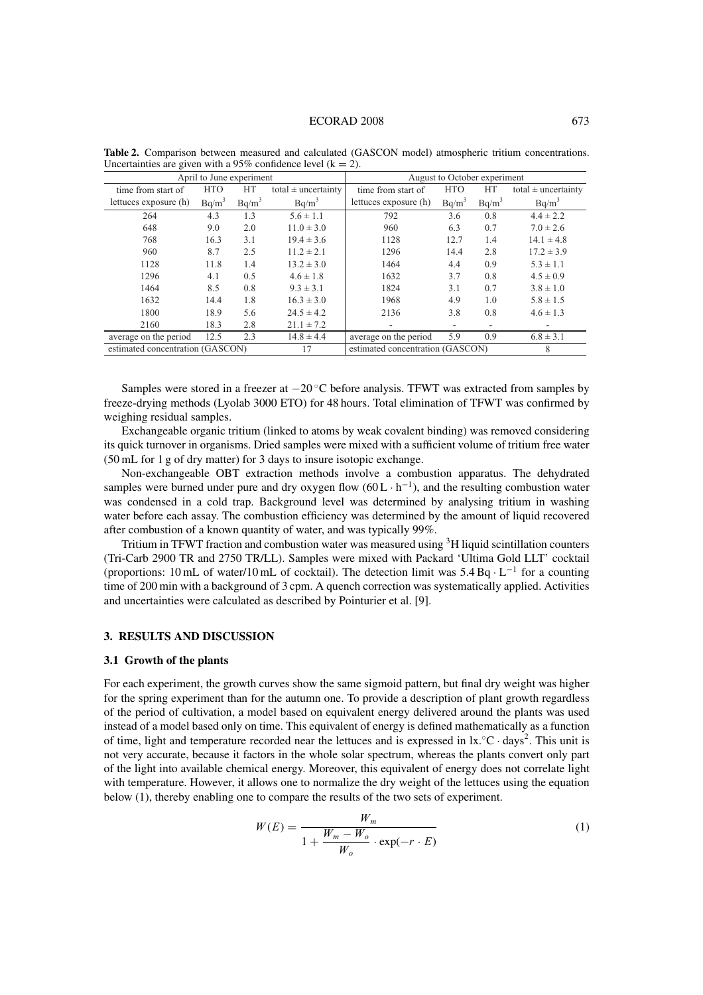| April to June experiment               |            |          |                                  | August to October experiment |            |          |                         |  |  |
|----------------------------------------|------------|----------|----------------------------------|------------------------------|------------|----------|-------------------------|--|--|
| time from start of                     | <b>HTO</b> | HT       | total $\pm$ uncertainty          | time from start of           | <b>HTO</b> | HT       | total $\pm$ uncertainty |  |  |
| lettuces exposure (h)                  | $Bq/m^3$   | $Bq/m^3$ | $Bq/m^3$                         | lettuces exposure (h)        | $Bq/m^3$   | $Bq/m^3$ | $Bq/m^3$                |  |  |
| 264                                    | 4.3        | 1.3      | $5.6 \pm 1.1$                    | 792                          | 3.6        | 0.8      | $4.4 \pm 2.2$           |  |  |
| 648                                    | 9.0        | 2.0      | $11.0 \pm 3.0$                   | 960                          | 6.3        | 0.7      | $7.0 \pm 2.6$           |  |  |
| 768                                    | 16.3       | 3.1      | $19.4 \pm 3.6$                   | 1128                         | 12.7       | 1.4      | $14.1 \pm 4.8$          |  |  |
| 960                                    | 8.7        | 2.5      | $11.2 \pm 2.1$                   | 1296                         | 14.4       | 2.8      | $17.2 \pm 3.9$          |  |  |
| 1128                                   | 11.8       | 1.4      | $13.2 \pm 3.0$                   | 1464                         | 4.4        | 0.9      | $5.3 \pm 1.1$           |  |  |
| 1296                                   | 4.1        | 0.5      | $4.6 \pm 1.8$                    | 1632                         | 3.7        | 0.8      | $4.5 \pm 0.9$           |  |  |
| 1464                                   | 8.5        | 0.8      | $9.3 \pm 3.1$                    | 1824                         | 3.1        | 0.7      | $3.8 \pm 1.0$           |  |  |
| 1632                                   | 14.4       | 1.8      | $16.3 \pm 3.0$                   | 1968                         | 4.9        | 1.0      | $5.8 \pm 1.5$           |  |  |
| 1800                                   | 18.9       | 5.6      | $24.5 \pm 4.2$                   | 2136                         | 3.8        | 0.8      | $4.6 \pm 1.3$           |  |  |
| 2160                                   | 18.3       | 2.8      | $21.1 \pm 7.2$                   |                              |            |          | -                       |  |  |
| average on the period                  | 12.5       | 2.3      | $14.8 \pm 4.4$                   | average on the period        | 5.9        | 0.9      | $6.8 \pm 3.1$           |  |  |
| estimated concentration (GASCON)<br>17 |            |          | estimated concentration (GASCON) |                              |            | 8        |                         |  |  |

**Table 2.** Comparison between measured and calculated (GASCON model) atmospheric tritium concentrations. Uncertainties are given with a 95% confidence level  $(k = 2)$ .

Samples were stored in a freezer at  $-20^\circ$ C before analysis. TFWT was extracted from samples by freeze-drying methods (Lyolab 3000 ETO) for 48 hours. Total elimination of TFWT was confirmed by weighing residual samples.

Exchangeable organic tritium (linked to atoms by weak covalent binding) was removed considering its quick turnover in organisms. Dried samples were mixed with a sufficient volume of tritium free water (50 mL for 1 g of dry matter) for 3 days to insure isotopic exchange.

Non-exchangeable OBT extraction methods involve a combustion apparatus. The dehydrated samples were burned under pure and dry oxygen flow  $(60L \cdot h^{-1})$ , and the resulting combustion water was condensed in a cold trap. Background level was determined by analysing tritium in washing water before each assay. The combustion efficiency was determined by the amount of liquid recovered after combustion of a known quantity of water, and was typically 99%.

Tritium in TFWT fraction and combustion water was measured using <sup>3</sup>H liquid scintillation counters (Tri-Carb 2900 TR and 2750 TR/LL). Samples were mixed with Packard 'Ultima Gold LLT' cocktail (proportions: 10 mL of water/10 mL of cocktail). The detection limit was  $5.4$  Bq $\cdot$ L<sup>-1</sup> for a counting time of 200 min with a background of 3 cpm. A quench correction was systematically applied. Activities and uncertainties were calculated as described by Pointurier et al. [9].

#### **3. RESULTS AND DISCUSSION**

#### **3.1 Growth of the plants**

For each experiment, the growth curves show the same sigmoid pattern, but final dry weight was higher for the spring experiment than for the autumn one. To provide a description of plant growth regardless of the period of cultivation, a model based on equivalent energy delivered around the plants was used instead of a model based only on time. This equivalent of energy is defined mathematically as a function of time, light and temperature recorded near the lettuces and is expressed in  $lx. °C \cdot days^2$ . This unit is not very accurate, because it factors in the whole solar spectrum, whereas the plants convert only part of the light into available chemical energy. Moreover, this equivalent of energy does not correlate light with temperature. However, it allows one to normalize the dry weight of the lettuces using the equation below (1), thereby enabling one to compare the results of the two sets of experiment.

$$
W(E) = \frac{W_m}{1 + \frac{W_m - W_o}{W_o} \cdot \exp(-r \cdot E)}
$$
(1)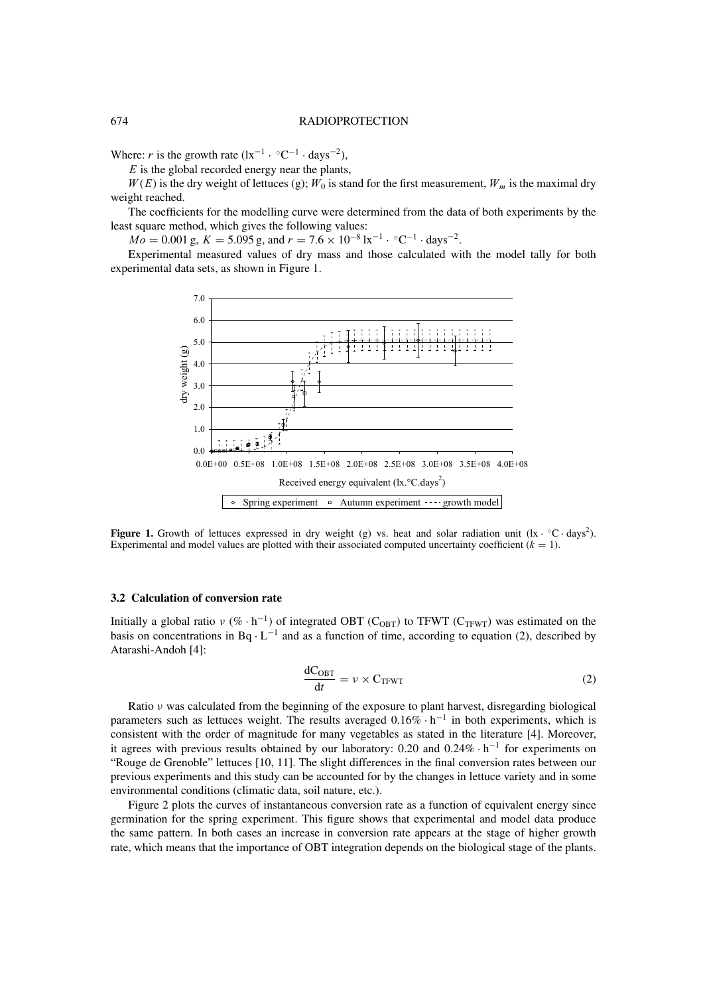#### 674 RADIOPROTECTION

Where: *r* is the growth rate  $(lx^{-1} \cdot {}^{\circ}C^{-1} \cdot days^{-2})$ ,

 $E$  is the global recorded energy near the plants,

 $W(E)$  is the dry weight of lettuces (g);  $W_0$  is stand for the first measurement,  $W_m$  is the maximal dry weight reached.

The coefficients for the modelling curve were determined from the data of both experiments by the least square method, which gives the following values:

 $Mo = 0.001 \text{ g}, K = 5.095 \text{ g}, \text{ and } r = 7.6 \times 10^{-8} \text{ lx}^{-1} \cdot \text{°C}^{-1} \cdot \text{days}^{-2}.$ 

Experimental measured values of dry mass and those calculated with the model tally for both experimental data sets, as shown in Figure 1.



**Figure 1.** Growth of lettuces expressed in dry weight (g) vs. heat and solar radiation unit  $(lx \cdot °C \cdot days^2)$ . Experimental and model values are plotted with their associated computed uncertainty coefficient  $(k = 1)$ .

## **3.2 Calculation of conversion rate**

Initially a global ratio  $v$  (% · h<sup>-1</sup>) of integrated OBT (C<sub>OBT</sub>) to TFWT (C<sub>TFWT</sub>) was estimated on the basis on concentrations in Bq  $\cdot$  L<sup>-1</sup> and as a function of time, according to equation (2), described by Atarashi-Andoh [4]:

$$
\frac{dC_{\text{OBT}}}{dt} = \nu \times C_{\text{TFWT}} \tag{2}
$$

Ratio ν was calculated from the beginning of the exposure to plant harvest, disregarding biological parameters such as lettuces weight. The results averaged  $0.16\% \cdot h^{-1}$  in both experiments, which is consistent with the order of magnitude for many vegetables as stated in the literature [4]. Moreover, it agrees with previous results obtained by our laboratory: 0.20 and 0.24% · <sup>h</sup>−<sup>1</sup> for experiments on "Rouge de Grenoble" lettuces [10, 11]. The slight differences in the final conversion rates between our previous experiments and this study can be accounted for by the changes in lettuce variety and in some environmental conditions (climatic data, soil nature, etc.).

Figure 2 plots the curves of instantaneous conversion rate as a function of equivalent energy since germination for the spring experiment. This figure shows that experimental and model data produce the same pattern. In both cases an increase in conversion rate appears at the stage of higher growth rate, which means that the importance of OBT integration depends on the biological stage of the plants.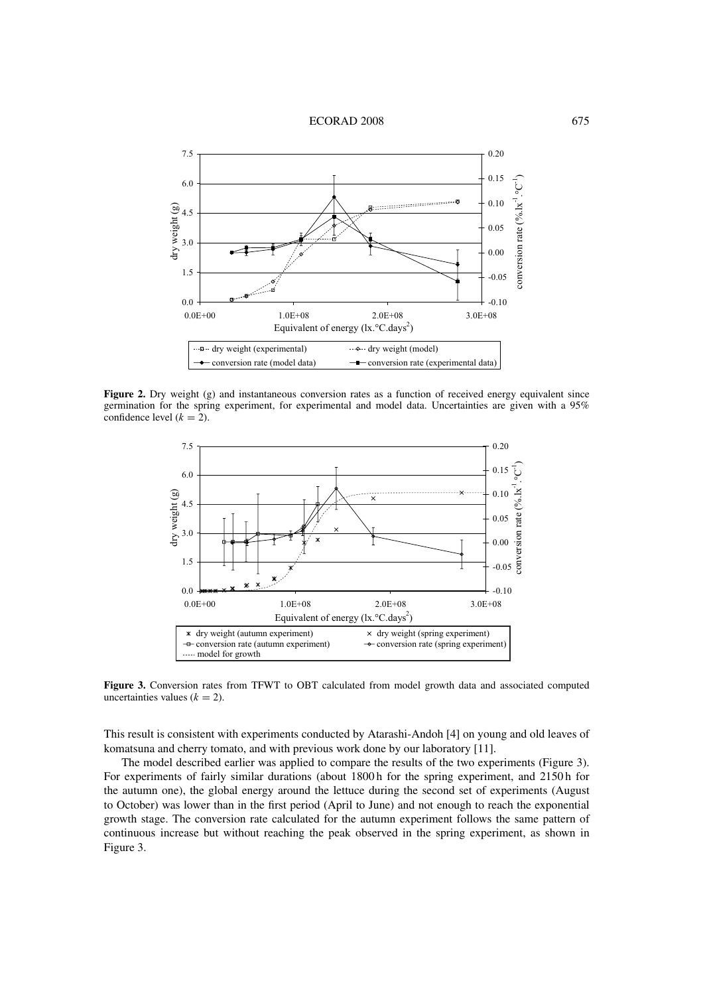#### ECORAD 2008 675



**Figure 2.** Dry weight (g) and instantaneous conversion rates as a function of received energy equivalent since germination for the spring experiment, for experimental and model data. Uncertainties are given with a 95% confidence level  $(k = 2)$ .



**Figure 3.** Conversion rates from TFWT to OBT calculated from model growth data and associated computed uncertainties values  $(k = 2)$ .

This result is consistent with experiments conducted by Atarashi-Andoh [4] on young and old leaves of komatsuna and cherry tomato, and with previous work done by our laboratory [11].

The model described earlier was applied to compare the results of the two experiments (Figure 3). For experiments of fairly similar durations (about 1800 h for the spring experiment, and 2150 h for the autumn one), the global energy around the lettuce during the second set of experiments (August to October) was lower than in the first period (April to June) and not enough to reach the exponential growth stage. The conversion rate calculated for the autumn experiment follows the same pattern of continuous increase but without reaching the peak observed in the spring experiment, as shown in Figure 3.